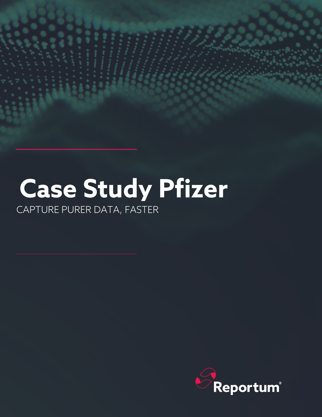# **Case Study Pfizer**

CAPTURE PURER DATA, FASTER